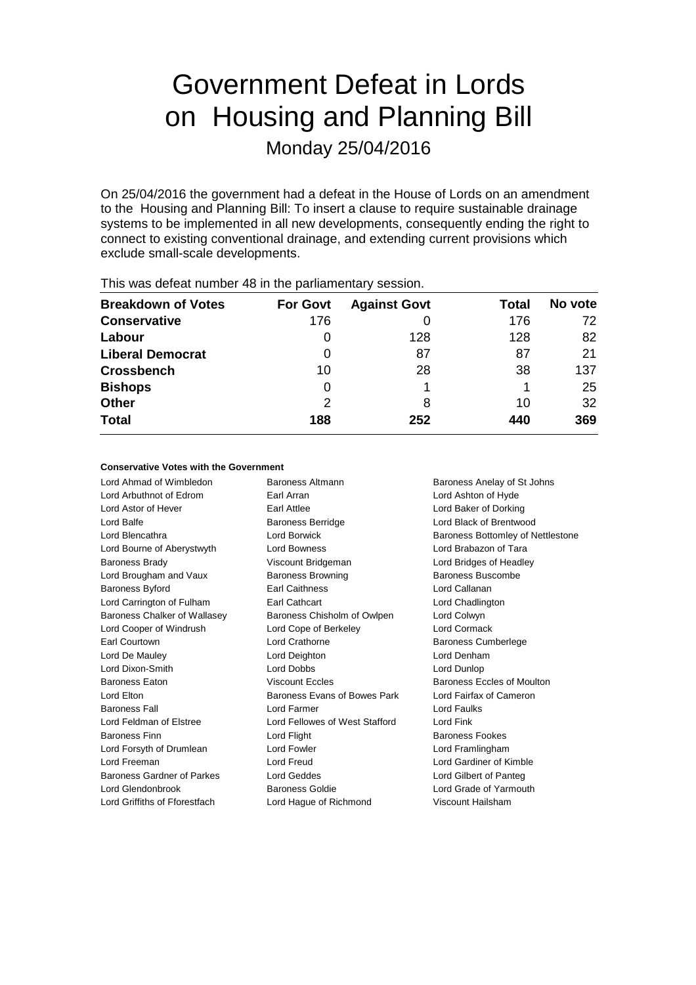# Government Defeat in Lords on Housing and Planning Bill

Monday 25/04/2016

On 25/04/2016 the government had a defeat in the House of Lords on an amendment to the Housing and Planning Bill: To insert a clause to require sustainable drainage systems to be implemented in all new developments, consequently ending the right to connect to existing conventional drainage, and extending current provisions which exclude small-scale developments.

| $1.110$ $1.000$ and the stationartic contracts to the station of production of $\sim$ 0.000 and 0.11 |                 |                     |       |         |  |  |
|------------------------------------------------------------------------------------------------------|-----------------|---------------------|-------|---------|--|--|
| <b>Breakdown of Votes</b>                                                                            | <b>For Govt</b> | <b>Against Govt</b> | Total | No vote |  |  |
| <b>Conservative</b>                                                                                  | 176             |                     | 176   | 72      |  |  |
| Labour                                                                                               | O               | 128                 | 128   | 82      |  |  |
| <b>Liberal Democrat</b>                                                                              | 0               | 87                  | 87    | 21      |  |  |
| <b>Crossbench</b>                                                                                    | 10              | 28                  | 38    | 137     |  |  |
| <b>Bishops</b>                                                                                       | 0               |                     |       | 25      |  |  |
| <b>Other</b>                                                                                         | 2               | 8                   | 10    | 32      |  |  |
| <b>Total</b>                                                                                         | 188             | 252                 | 440   | 369     |  |  |
|                                                                                                      |                 |                     |       |         |  |  |

This was defeat number 48 in the parliamentary session.

#### **Conservative Votes with the Government**

Lord Ahmad of Wimbledon Baroness Altmann Baroness Anelay of St Johns Lord Arbuthnot of Edrom Earl Arran Lord Ashton of Hyde Lord Astor of Hever Earl Attlee Lord Baker of Dorking Lord Balfe **Baroness Berridge** Lord Black of Brentwood Lord Blencathra **Lord Borwick** Baroness Bottomley of Nettlestone Lord Bourne of Aberystwyth Lord Bowness Lord Brabazon of Tara Baroness Brady **Marting Community** Viscount Bridgeman **Lord Bridges of Headley** Lord Brougham and Vaux Baroness Browning Baroness Buscombe Baroness Byford Earl Caithness Lord Callanan Lord Carrington of Fulham **Earl Cathcart** Earl Constant Lord Chadlington Baroness Chalker of Wallasey Baroness Chisholm of Owlpen Lord Colwyn Lord Cooper of Windrush Lord Cope of Berkeley Lord Cormack Earl Courtown **Lord Crathorne Lord Crathorne Baroness Cumberlege** Lord De Mauley Lord Deighton Lord Denham Lord Dixon-Smith Lord Dobbs Lord Dunlop Baroness Eaton **Exercise Systems** Viscount Eccles **Baroness Eccles of Moulton** Lord Elton Baroness Evans of Bowes Park Lord Fairfax of Cameron Baroness Fall Lord Farmer Lord Faulks Lord Feldman of Elstree Lord Fellowes of West Stafford Lord Fink Baroness Finn **Baroness Fookes** Lord Flight **Baroness Fookes** Lord Forsyth of Drumlean Lord Fowler Lord Formula Lord Framlingham Lord Freeman Lord Freud Lord Gardiner of Kimble Baroness Gardner of Parkes Lord Geddes Lord Gilbert of Panteg Lord Glendonbrook Baroness Goldie Lord Grade of Yarmouth

Lord Griffiths of Fforestfach Lord Hague of Richmond Viscount Hailsham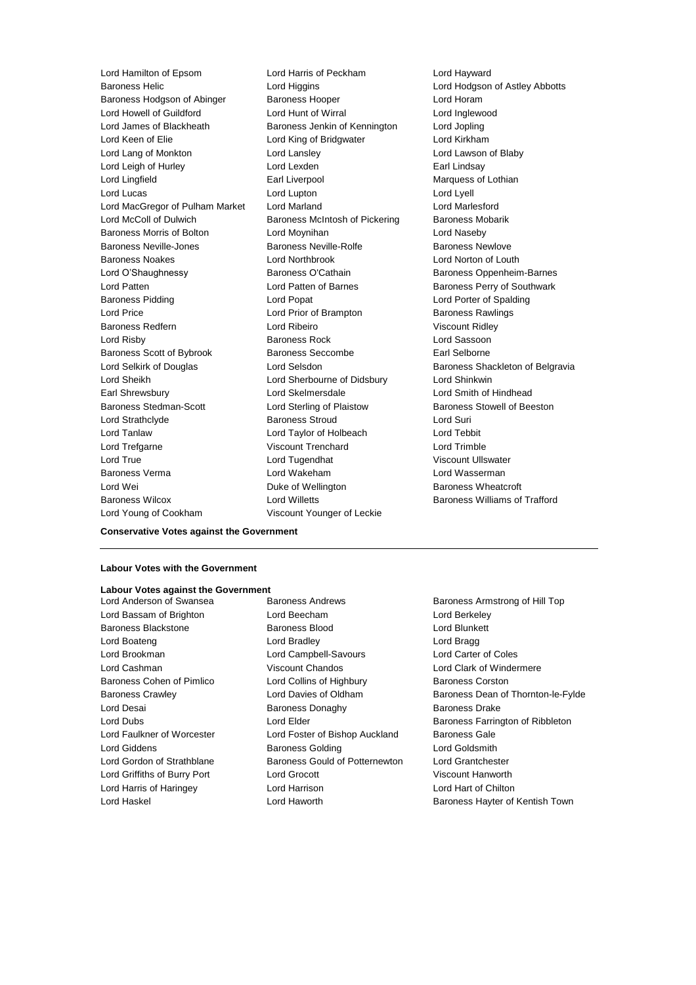Baroness Helic Lord Higgins Lord Hodgson of Astley Abbotts Baroness Hodgson of Abinger Baroness Hooper Lord Horam Lord Howell of Guildford Lord Hunt of Wirral Lord Inglewood Lord James of Blackheath Baroness Jenkin of Kennington Lord Jopling Lord Keen of Elie Lord King of Bridgwater Lord Kirkham Lord Lang of Monkton Lord Lansley Lord Lawson of Blaby Lord Leigh of Hurley **Lord Lexden** Lord Lexden **Earl Lindsay** Lord Lingfield **Earl Liverpool** Earl Liverpool Marquess of Lothian Lord Lucas Lord Lupton Lord Lyell Lord MacGregor of Pulham Market Lord Marland Lord Marlesford Lord McColl of Dulwich **Baroness McIntosh of Pickering** Baroness Mobarik Baroness Morris of Bolton Lord Moynihan Lord Naseby Baroness Neville-Jones Baroness Neville-Rolfe Baroness Newlove Baroness Noakes Lord Northbrook Lord Norton of Louth Lord O'Shaughnessy **Baroness O'Cathain** Baroness Oppenheim-Barnes Lord Patten **Lord Patten of Barnes** Baroness Perry of Southwark Baroness Pidding Lord Popat Lord Porter of Spalding Lord Price **Lord Prior of Brampton** Baroness Rawlings Baroness Redfern **Lord Ribeiro** Lord Ribeiro Viscount Ridley Lord Risby Baroness Rock Lord Sassoon Baroness Scott of Bybrook Baroness Seccombe Earl Selborne Lord Selkirk of Douglas **Lord Selsdon** Baroness Shackleton of Belgravia Lord Sheikh Lord Sherbourne of Didsbury Lord Shinkwin Earl Shrewsbury Lord Skelmersdale Lord Smith of Hindhead Baroness Stedman-Scott Lord Sterling of Plaistow Baroness Stowell of Beeston Lord Strathclyde Baroness Stroud Lord Suri Lord Tanlaw Lord Taylor of Holbeach Lord Tebbit Lord Trefgarne Viscount Trenchard Lord Trimble Lord True Lord Tugendhat Viscount Ullswater Baroness Verma Lord Wakeham Lord Wasserman Lord Wei **Duke of Wellington** Baroness Wheatcroft **Duke Of Wellington** Baroness Wheatcroft Baroness Wilcox Lord Willetts Baroness Williams of Trafford

Lord Hamilton of Epsom Lord Harris of Peckham Lord Hayward Lord Young of Cookham Viscount Younger of Leckie

## **Conservative Votes against the Government**

#### **Labour Votes with the Government**

### **Labour Votes against the Government**

Lord Bassam of Brighton Lord Beecham Lord Berkeley Baroness Blackstone **Baroness Blood Baroness Blood** Lord Blunkett Lord Boateng Lord Bradley Lord Bragg Lord Brookman Lord Campbell-Savours Lord Carter of Coles Lord Cashman Viscount Chandos Lord Clark of Windermere Baroness Cohen of Pimlico **Lord Collins of Highbury** Baroness Corston Lord Desai **Baroness Donaghy** Baroness Donaghy Baroness Drake Lord Faulkner of Worcester Lord Foster of Bishop Auckland Baroness Gale Lord Giddens **Baroness Golding Community** Lord Goldsmith Lord Gordon of Strathblane **Baroness Gould of Potternewton** Lord Grantchester Lord Griffiths of Burry Port Lord Grocott Viscount Hanworth Lord Harris of Haringey Lord Harrison Lord Hart of Chilton

Baroness Armstrong of Hill Top Baroness Crawley Lord Davies of Oldham Baroness Dean of Thornton-le-Fylde Lord Dubs Lord Elder Baroness Farrington of Ribbleton Lord Haskel **Lord Haworth Baroness Hayter of Kentish Town**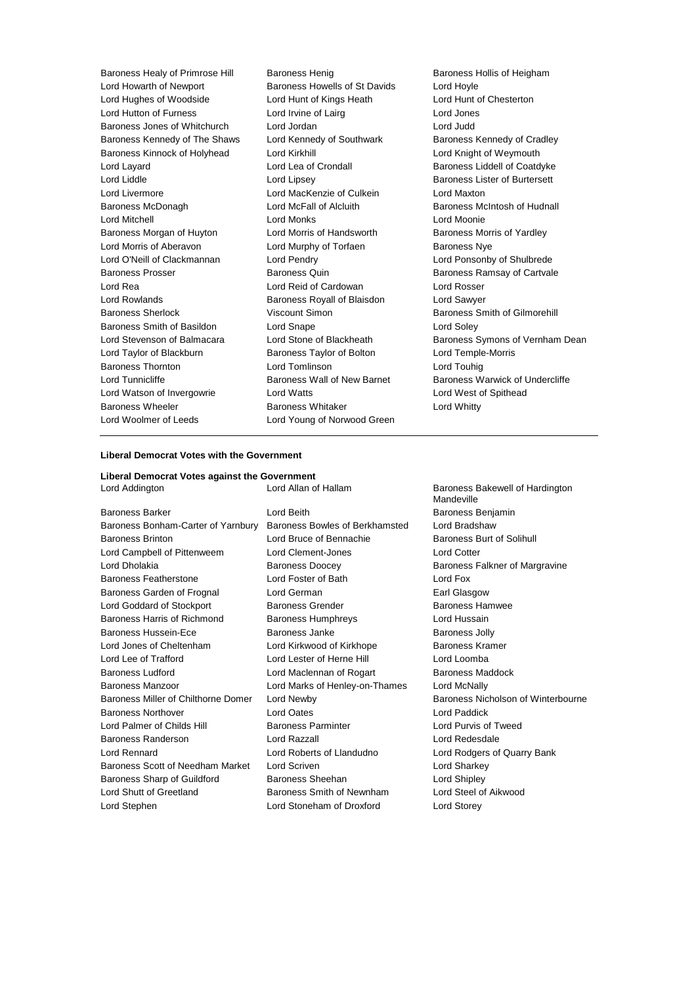Baroness Healy of Primrose Hill Baroness Henig Baroness Hollis of Heigham Lord Howarth of Newport Baroness Howells of St Davids Lord Hoyle Lord Hughes of Woodside Lord Hunt of Kings Heath Lord Hunt of Chesterton Lord Hutton of Furness Lord Irvine of Lairg Lord Jones Baroness Jones of Whitchurch Lord Jordan Lord Judd Baroness Kennedy of The Shaws Lord Kennedy of Southwark Baroness Kennedy of Cradley Baroness Kinnock of Holyhead Lord Kirkhill Lord Entertainment Cord Knight of Weymouth Lord Layard **Lord Lea of Crondall** Baroness Liddell of Coatdyke Lord Liddle **Lord Lipsey** Lord Lipsey **Baroness Lister of Burtersett** Lord Livermore Lord MacKenzie of Culkein Lord Maxton Baroness McDonagh Lord McFall of Alcluith Baroness McIntosh of Hudnall Lord Mitchell Lord Monks Lord Moonie Baroness Morgan of Huyton Lord Morris of Handsworth Baroness Morris of Yardley Lord Morris of Aberavon **Lord Murphy of Torfaen** Baroness Nye Lord O'Neill of Clackmannan Lord Pendry Lord Ponsonby of Shulbrede Baroness Prosser Baroness Quin Baroness Ramsay of Cartvale Lord Rea Lord Reid of Cardowan Lord Rosser Lord Rowlands **Baroness Royall of Blaisdon** Lord Sawyer Baroness Sherlock Viscount Simon Baroness Smith of Gilmorehill Baroness Smith of Basildon Lord Snape Lord Soley Lord Stevenson of Balmacara Lord Stone of Blackheath Baroness Symons of Vernham Dean Lord Taylor of Blackburn **Baroness Taylor of Bolton** Lord Temple-Morris Baroness Thornton Lord Tomlinson Lord Touhig Lord Tunnicliffe **Baroness Wall of New Barnet** Baroness Warwick of Undercliffe Lord Watson of Invergowrie Lord Watts Lord West of Spithead Baroness Wheeler **Baroness Whitaker** Lord Whitty Lord Woolmer of Leeds **Lord Young of Norwood Green** 

#### **Liberal Democrat Votes with the Government**

#### **Liberal Democrat Votes against the Government**

Baroness Barker Lord Beith Baroness Benjamin Baroness Bonham-Carter of Yarnbury Baroness Bowles of Berkhamsted Lord Bradshaw Baroness Brinton **Baroness Brinton** Lord Bruce of Bennachie Baroness Burt of Solihull Lord Campbell of Pittenweem Lord Clement-Jones Lord Cotter Lord Dholakia **Baroness Doocey** Baroness Falkner of Margravine Baroness Featherstone Lord Foster of Bath Lord Fox Baroness Garden of Frognal Lord German **Earl Glasgow** Earl Glasgow Lord Goddard of Stockport **Baroness Grender** Baroness Hamwee Baroness Harris of Richmond Baroness Humphreys Lord Hussain Baroness Hussein-Ece **Baroness Janke** Baroness Jolly Lord Jones of Cheltenham Lord Kirkwood of Kirkhope Baroness Kramer Lord Lee of Trafford Lord Lester of Herne Hill Lord Loomba Baroness Ludford Lord Maclennan of Rogart Baroness Maddock Baroness Manzoor **Lord Marks of Henley-on-Thames** Lord McNally Baroness Miller of Chilthorne Domer Lord Newby Baroness Nicholson of Winterbourne Baroness Northover Lord Oates Lord Paddick Lord Palmer of Childs Hill Baroness Parminter Lord Purvis of Tweed Baroness Randerson Lord Razzall Lord Redesdale Lord Rennard Lord Roberts of Llandudno Lord Rodgers of Quarry Bank Baroness Scott of Needham Market Lord Scriven Lord Controller Lord Sharkey Baroness Sharp of Guildford Baroness Sheehan Baroness Sheehan Lord Shipley Lord Shutt of Greetland Baroness Smith of Newnham Lord Steel of Aikwood Lord Stephen Lord Stoneham of Droxford Lord Storey

Lord Addington **Lord Allan of Hallam** Baroness Bakewell of Hardington **Mandeville**